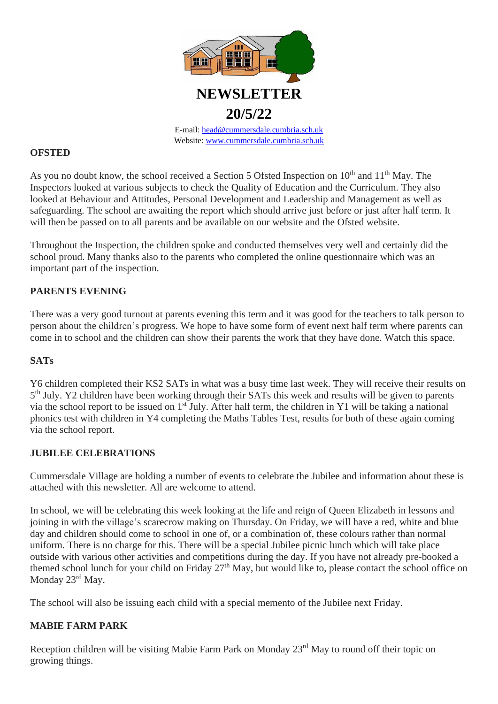

Website: [www.cummersdale.cumbria.sch.uk](http://www.cummersdale.cumbria.sch.uk/)

## **OFSTED**

As you no doubt know, the school received a Section 5 Ofsted Inspection on 10<sup>th</sup> and 11<sup>th</sup> May. The Inspectors looked at various subjects to check the Quality of Education and the Curriculum. They also looked at Behaviour and Attitudes, Personal Development and Leadership and Management as well as safeguarding. The school are awaiting the report which should arrive just before or just after half term. It will then be passed on to all parents and be available on our website and the Ofsted website.

Throughout the Inspection, the children spoke and conducted themselves very well and certainly did the school proud. Many thanks also to the parents who completed the online questionnaire which was an important part of the inspection.

# **PARENTS EVENING**

There was a very good turnout at parents evening this term and it was good for the teachers to talk person to person about the children's progress. We hope to have some form of event next half term where parents can come in to school and the children can show their parents the work that they have done. Watch this space.

# **SATs**

Y6 children completed their KS2 SATs in what was a busy time last week. They will receive their results on 5<sup>th</sup> July. Y2 children have been working through their SATs this week and results will be given to parents via the school report to be issued on 1<sup>st</sup> July. After half term, the children in Y1 will be taking a national phonics test with children in Y4 completing the Maths Tables Test, results for both of these again coming via the school report.

# **JUBILEE CELEBRATIONS**

Cummersdale Village are holding a number of events to celebrate the Jubilee and information about these is attached with this newsletter. All are welcome to attend.

In school, we will be celebrating this week looking at the life and reign of Queen Elizabeth in lessons and joining in with the village's scarecrow making on Thursday. On Friday, we will have a red, white and blue day and children should come to school in one of, or a combination of, these colours rather than normal uniform. There is no charge for this. There will be a special Jubilee picnic lunch which will take place outside with various other activities and competitions during the day. If you have not already pre-booked a themed school lunch for your child on Friday 27<sup>th</sup> May, but would like to, please contact the school office on Monday 23<sup>rd</sup> May.

The school will also be issuing each child with a special memento of the Jubilee next Friday.

# **MABIE FARM PARK**

Reception children will be visiting Mabie Farm Park on Monday 23<sup>rd</sup> May to round off their topic on growing things.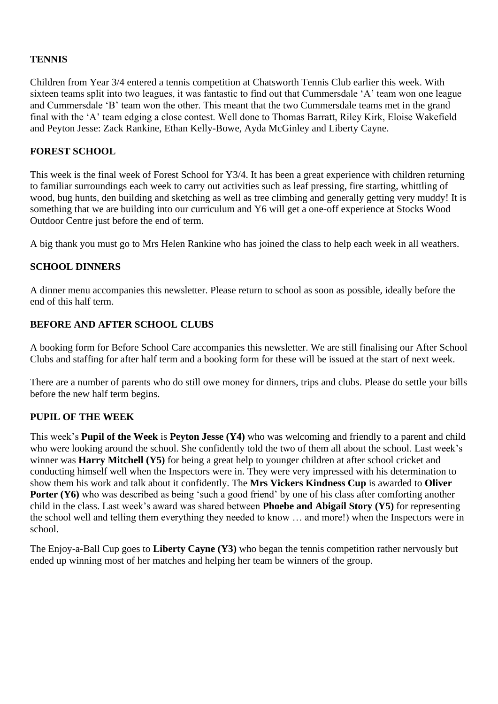# **TENNIS**

Children from Year 3/4 entered a tennis competition at Chatsworth Tennis Club earlier this week. With sixteen teams split into two leagues, it was fantastic to find out that Cummersdale 'A' team won one league and Cummersdale 'B' team won the other. This meant that the two Cummersdale teams met in the grand final with the 'A' team edging a close contest. Well done to Thomas Barratt, Riley Kirk, Eloise Wakefield and Peyton Jesse: Zack Rankine, Ethan Kelly-Bowe, Ayda McGinley and Liberty Cayne.

## **FOREST SCHOOL**

This week is the final week of Forest School for Y3/4. It has been a great experience with children returning to familiar surroundings each week to carry out activities such as leaf pressing, fire starting, whittling of wood, bug hunts, den building and sketching as well as tree climbing and generally getting very muddy! It is something that we are building into our curriculum and Y6 will get a one-off experience at Stocks Wood Outdoor Centre just before the end of term.

A big thank you must go to Mrs Helen Rankine who has joined the class to help each week in all weathers.

## **SCHOOL DINNERS**

A dinner menu accompanies this newsletter. Please return to school as soon as possible, ideally before the end of this half term.

## **BEFORE AND AFTER SCHOOL CLUBS**

A booking form for Before School Care accompanies this newsletter. We are still finalising our After School Clubs and staffing for after half term and a booking form for these will be issued at the start of next week.

There are a number of parents who do still owe money for dinners, trips and clubs. Please do settle your bills before the new half term begins.

#### **PUPIL OF THE WEEK**

This week's **Pupil of the Week** is **Peyton Jesse (Y4)** who was welcoming and friendly to a parent and child who were looking around the school. She confidently told the two of them all about the school. Last week's winner was **Harry Mitchell (Y5)** for being a great help to younger children at after school cricket and conducting himself well when the Inspectors were in. They were very impressed with his determination to show them his work and talk about it confidently. The **Mrs Vickers Kindness Cup** is awarded to **Oliver Porter (Y6)** who was described as being 'such a good friend' by one of his class after comforting another child in the class. Last week's award was shared between **Phoebe and Abigail Story (Y5)** for representing the school well and telling them everything they needed to know … and more!) when the Inspectors were in school.

The Enjoy-a-Ball Cup goes to **Liberty Cayne (Y3)** who began the tennis competition rather nervously but ended up winning most of her matches and helping her team be winners of the group.